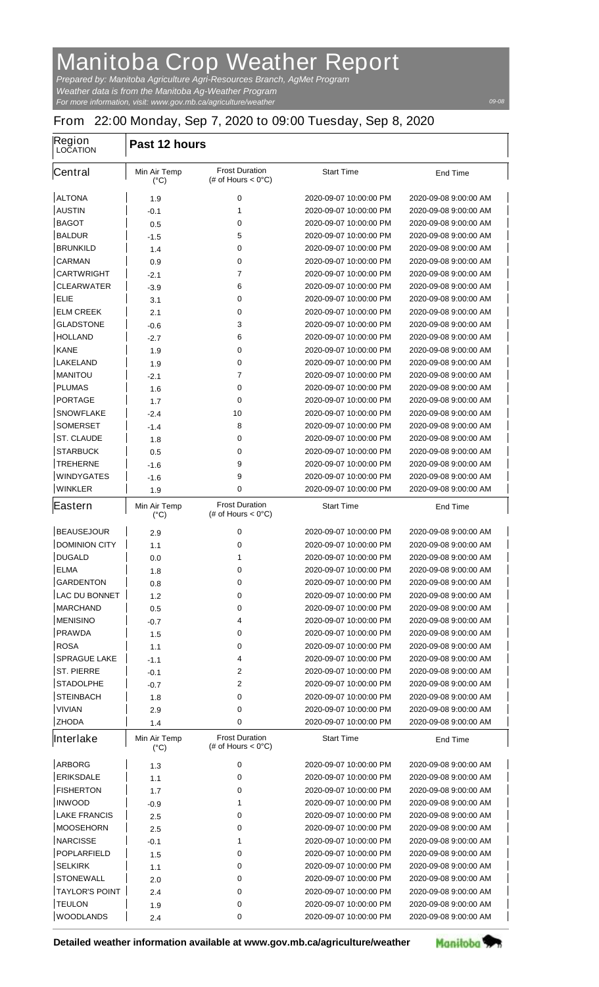## **Manitoba Crop Weather Report**

*For more information, visit: www.gov.mb.ca/agriculture/weather Prepared by: Manitoba Agriculture Agri-Resources Branch, AgMet Program Weather data is from the Manitoba Ag-Weather Program*

## **From 22:00 Monday, Sep 7, 2020 to 09:00 Tuesday, Sep 8, 2020**

| Region<br><b>LOCATION</b> | Past 12 hours                        |                                                       |                        |                       |  |
|---------------------------|--------------------------------------|-------------------------------------------------------|------------------------|-----------------------|--|
| <b>Central</b>            | Min Air Temp<br>$(^{\circ}C)$        | <b>Frost Duration</b><br>(# of Hours $< 0^{\circ}$ C) | <b>Start Time</b>      | <b>End Time</b>       |  |
| <b>ALTONA</b>             | 1.9                                  | 0                                                     | 2020-09-07 10:00:00 PM | 2020-09-08 9:00:00 AM |  |
| <b>AUSTIN</b>             | -0.1                                 | 1                                                     | 2020-09-07 10:00:00 PM | 2020-09-08 9:00:00 AM |  |
| <b>BAGOT</b>              | 0.5                                  | 0                                                     | 2020-09-07 10:00:00 PM | 2020-09-08 9:00:00 AM |  |
| <b>BALDUR</b>             | $-1.5$                               | 5                                                     | 2020-09-07 10:00:00 PM | 2020-09-08 9:00:00 AM |  |
| <b>BRUNKILD</b>           | 1.4                                  | 0                                                     | 2020-09-07 10:00:00 PM | 2020-09-08 9:00:00 AM |  |
| <b>CARMAN</b>             | 0.9                                  | 0                                                     | 2020-09-07 10:00:00 PM | 2020-09-08 9:00:00 AM |  |
| <b>CARTWRIGHT</b>         | $-2.1$                               | 7                                                     | 2020-09-07 10:00:00 PM | 2020-09-08 9:00:00 AM |  |
| <b>CLEARWATER</b>         | $-3.9$                               | 6                                                     | 2020-09-07 10:00:00 PM | 2020-09-08 9:00:00 AM |  |
| ELIE                      | 3.1                                  | 0                                                     | 2020-09-07 10:00:00 PM | 2020-09-08 9:00:00 AM |  |
| <b>ELM CREEK</b>          | 2.1                                  | 0                                                     | 2020-09-07 10:00:00 PM | 2020-09-08 9:00:00 AM |  |
| <b>GLADSTONE</b>          | -0.6                                 | 3                                                     | 2020-09-07 10:00:00 PM | 2020-09-08 9:00:00 AM |  |
| <b>HOLLAND</b>            | $-2.7$                               | 6                                                     | 2020-09-07 10:00:00 PM | 2020-09-08 9:00:00 AM |  |
| <b>KANE</b>               | 1.9                                  | 0                                                     | 2020-09-07 10:00:00 PM | 2020-09-08 9:00:00 AM |  |
| <b>LAKELAND</b>           | 1.9                                  | 0                                                     | 2020-09-07 10:00:00 PM | 2020-09-08 9:00:00 AM |  |
| <b>MANITOU</b>            | $-2.1$                               | 7                                                     | 2020-09-07 10:00:00 PM | 2020-09-08 9:00:00 AM |  |
| <b>PLUMAS</b>             | 1.6                                  | 0                                                     | 2020-09-07 10:00:00 PM | 2020-09-08 9:00:00 AM |  |
| <b>PORTAGE</b>            | 1.7                                  | 0                                                     | 2020-09-07 10:00:00 PM | 2020-09-08 9:00:00 AM |  |
| <b>SNOWFLAKE</b>          | $-2.4$                               | 10                                                    | 2020-09-07 10:00:00 PM | 2020-09-08 9:00:00 AM |  |
| <b>SOMERSET</b>           | $-1.4$                               | 8                                                     | 2020-09-07 10:00:00 PM | 2020-09-08 9:00:00 AM |  |
| <b>ST. CLAUDE</b>         | 1.8                                  | 0                                                     | 2020-09-07 10:00:00 PM | 2020-09-08 9:00:00 AM |  |
| <b>STARBUCK</b>           | 0.5                                  | 0                                                     | 2020-09-07 10:00:00 PM | 2020-09-08 9:00:00 AM |  |
| <b>TREHERNE</b>           | $-1.6$                               | 9                                                     | 2020-09-07 10:00:00 PM | 2020-09-08 9:00:00 AM |  |
| <b>WINDYGATES</b>         | -1.6                                 | 9                                                     | 2020-09-07 10:00:00 PM | 2020-09-08 9:00:00 AM |  |
| <b>WINKLER</b>            | 1.9                                  | 0                                                     | 2020-09-07 10:00:00 PM | 2020-09-08 9:00:00 AM |  |
| <b>Eastern</b>            | <b>Min Air Temp</b><br>$(^{\circ}C)$ | <b>Frost Duration</b><br>(# of Hours $< 0^{\circ}$ C) | <b>Start Time</b>      | <b>End Time</b>       |  |
| <b>BEAUSEJOUR</b>         | 2.9                                  | 0                                                     | 2020-09-07 10:00:00 PM | 2020-09-08 9:00:00 AM |  |
| <b>DOMINION CITY</b>      | 1.1                                  | 0                                                     | 2020-09-07 10:00:00 PM | 2020-09-08 9:00:00 AM |  |
| <b>DUGALD</b>             | 0.0                                  | 1                                                     | 2020-09-07 10:00:00 PM | 2020-09-08 9:00:00 AM |  |
| <b>ELMA</b>               | 1.8                                  | 0                                                     | 2020-09-07 10:00:00 PM | 2020-09-08 9:00:00 AM |  |
| <b>GARDENTON</b>          | 0.8                                  | 0                                                     | 2020-09-07 10:00:00 PM | 2020-09-08 9:00:00 AM |  |
| <b>LAC DU BONNET</b>      | 1.2                                  | 0                                                     | 2020-09-07 10:00:00 PM | 2020-09-08 9:00:00 AM |  |
| <b>MARCHAND</b>           | 0.5                                  | 0                                                     | 2020-09-07 10:00:00 PM | 2020-09-08 9:00:00 AM |  |
| <b>MENISINO</b>           | -0.7                                 | 4                                                     | 2020-09-07 10:00:00 PM | 2020-09-08 9:00:00 AM |  |
| <b>PRAWDA</b>             | 1.5                                  | 0                                                     | 2020-09-07 10:00:00 PM | 2020-09-08 9:00:00 AM |  |
| <b>ROSA</b>               | 1.1                                  | 0                                                     | 2020-09-07 10:00:00 PM | 2020-09-08 9:00:00 AM |  |
| <b>SPRAGUE LAKE</b>       | $-1.1$                               | 4                                                     | 2020-09-07 10:00:00 PM | 2020-09-08 9:00:00 AM |  |
| <b>ST. PIERRE</b>         | $-0.1$                               | $\mathbf{2}$                                          | 2020-09-07 10:00:00 PM | 2020-09-08 9:00:00 AM |  |
| <b>STADOLPHE</b>          | -0.7                                 | 2                                                     | 2020-09-07 10:00:00 PM | 2020-09-08 9:00:00 AM |  |
| <b>STEINBACH</b>          | 1.8                                  | 0                                                     | 2020-09-07 10:00:00 PM | 2020-09-08 9:00:00 AM |  |
| <b>VIVIAN</b>             | 2.9                                  | 0                                                     | 2020-09-07 10:00:00 PM | 2020-09-08 9:00:00 AM |  |
| <b>ZHODA</b>              | 1.4                                  | 0                                                     | 2020-09-07 10:00:00 PM | 2020-09-08 9:00:00 AM |  |
| Interlake                 | <b>Min Air Temp</b><br>(°C)          | <b>Frost Duration</b><br>(# of Hours $< 0^{\circ}$ C) | <b>Start Time</b>      | <b>End Time</b>       |  |
| <b>ARBORG</b>             | 1.3                                  | 0                                                     | 2020-09-07 10:00:00 PM | 2020-09-08 9:00:00 AM |  |
| <b>ERIKSDALE</b>          | 1.1                                  | 0                                                     | 2020-09-07 10:00:00 PM | 2020-09-08 9:00:00 AM |  |
| <b>FISHERTON</b>          | 1.7                                  | 0                                                     | 2020-09-07 10:00:00 PM | 2020-09-08 9:00:00 AM |  |
| <b>INWOOD</b>             | -0.9                                 | 1                                                     | 2020-09-07 10:00:00 PM | 2020-09-08 9:00:00 AM |  |
| <b>LAKE FRANCIS</b>       | 2.5                                  | 0                                                     | 2020-09-07 10:00:00 PM | 2020-09-08 9:00:00 AM |  |
| <b>MOOSEHORN</b>          | 2.5                                  | 0                                                     | 2020-09-07 10:00:00 PM | 2020-09-08 9:00:00 AM |  |
| <b>NARCISSE</b>           | -0.1                                 | 1                                                     | 2020-09-07 10:00:00 PM | 2020-09-08 9:00:00 AM |  |
| <b>POPLARFIELD</b>        | 1.5                                  | 0                                                     | 2020-09-07 10:00:00 PM | 2020-09-08 9:00:00 AM |  |
| <b>SELKIRK</b>            | 1.1                                  | 0                                                     | 2020-09-07 10:00:00 PM | 2020-09-08 9:00:00 AM |  |
| <b>STONEWALL</b>          | 2.0                                  | 0                                                     | 2020-09-07 10:00:00 PM | 2020-09-08 9:00:00 AM |  |
| <b>TAYLOR'S POINT</b>     | 2.4                                  | 0                                                     | 2020-09-07 10:00:00 PM | 2020-09-08 9:00:00 AM |  |
| <b>TEULON</b>             | 1.9                                  | 0                                                     | 2020-09-07 10:00:00 PM | 2020-09-08 9:00:00 AM |  |
| <b>WOODLANDS</b>          | 2.4                                  | 0                                                     | 2020-09-07 10:00:00 PM | 2020-09-08 9:00:00 AM |  |



Manitoba<sup>9</sup>

*09-08*

 $\overline{\mathsf{I}}$